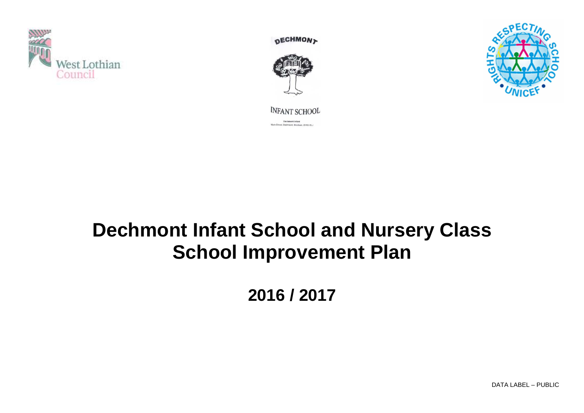

**DECHMON>** 





**INFANT SCHOOL** Dechment Infant<br>Main Street, Dechmont, Broxburn, EH52 6LJ

# **Dechmont Infant School and Nursery Class School Improvement Plan**

**2016 / 2017** 

DATA LABEL – PUBLIC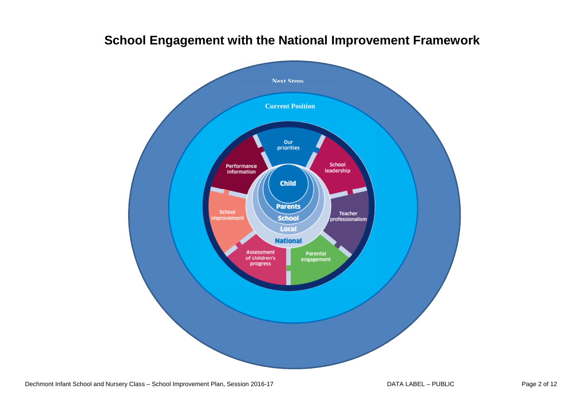

## **School Engagement with the National Improvement Framework**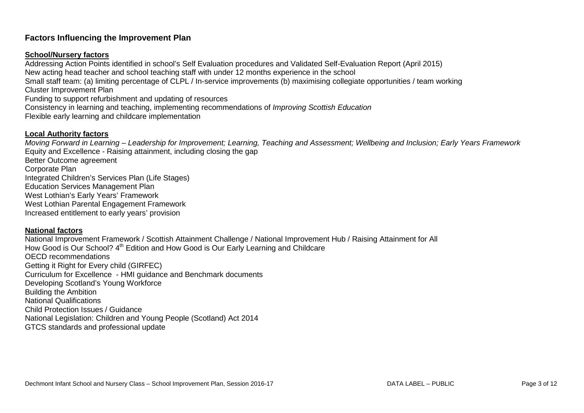### **Factors Influencing the Improvement Plan**

#### **School/Nursery factors**

 Addressing Action Points identified in school's Self Evaluation procedures and Validated Self-Evaluation Report (April 2015) New acting head teacher and school teaching staff with under 12 months experience in the school Small staff team: (a) limiting percentage of CLPL / In-service improvements (b) maximising collegiate opportunities / team working Cluster Improvement Plan Funding to support refurbishment and updating of resources Consistency in learning and teaching, implementing recommendations of Improving Scottish Education Flexible early learning and childcare implementation

#### **Local Authority factors**

 Moving Forward in Learning – Leadership for Improvement; Learning, Teaching and Assessment; Wellbeing and Inclusion; Early Years Framework Equity and Excellence - Raising attainment, including closing the gap Better Outcome agreement Corporate Plan Integrated Children's Services Plan (Life Stages) Education Services Management Plan West Lothian's Early Years' Framework West Lothian Parental Engagement Framework Increased entitlement to early years' provision

#### **National factors**

 National Improvement Framework / Scottish Attainment Challenge / National Improvement Hub / Raising Attainment for All How Good is Our School? 4<sup>th</sup> Edition and How Good is Our Early Learning and Childcare OECD recommendations Getting it Right for Every child (GIRFEC) Curriculum for Excellence - HMI guidance and Benchmark documents Developing Scotland's Young Workforce Building the Ambition National Qualifications Child Protection Issues / Guidance National Legislation: Children and Young People (Scotland) Act 2014 GTCS standards and professional update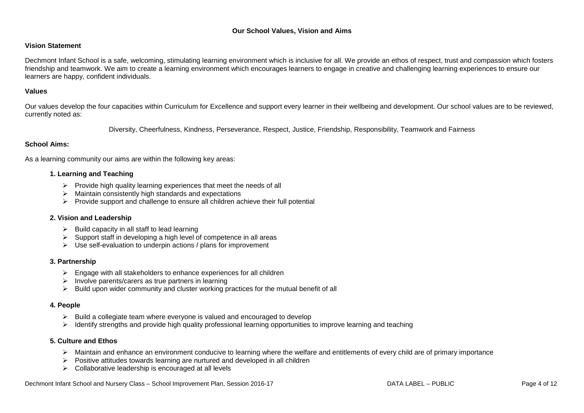#### **Our School Values, Vision and Aims**

#### **Vision Statement**

Dechmont Infant School is a safe, welcoming, stimulating learning environment which is inclusive for all. We provide an ethos of respect, trust and compassion which fosters friendship and teamwork. We aim to create a learning environment which encourages learners to engage in creative and challenging learning experiences to ensure our learners are happy, confident individuals.

#### **Values**

Our values develop the four capacities within Curriculum for Excellence and support every learner in their wellbeing and development. Our school values are to be reviewed, currently noted as:

Diversity, Cheerfulness, Kindness, Perseverance, Respect, Justice, Friendship, Responsibility, Teamwork and Fairness

#### **School Aims:**

As a learning community our aims are within the following key areas:

#### **1. Learning and Teaching**

- $\triangleright$  Provide high quality learning experiences that meet the needs of all
- $\triangleright$  Maintain consistently high standards and expectations
- $\triangleright$  Provide support and challenge to ensure all children achieve their full potential

#### **2. Vision and Leadership**

- $\triangleright$  Build capacity in all staff to lead learning
- $\triangleright$  Support staff in developing a high level of competence in all areas
- $\triangleright$  Use self-evaluation to underpin actions / plans for improvement

#### **3. Partnership**

- $\triangleright$  Engage with all stakeholders to enhance experiences for all children
- $\triangleright$  Involve parents/carers as true partners in learning
- $\triangleright$  Build upon wider community and cluster working practices for the mutual benefit of all

#### **4. People**

- $\triangleright$  Build a collegiate team where everyone is valued and encouraged to develop
- > Identify strengths and provide high quality professional learning opportunities to improve learning and teaching

#### **5. Culture and Ethos**

- Maintain and enhance an environment conducive to learning where the welfare and entitlements of every child are of primary importance
- $\triangleright$  Positive attitudes towards learning are nurtured and developed in all children
- $\triangleright$  Collaborative leadership is encouraged at all levels

Dechmont Infant School and Nursery Class – School Improvement Plan, Session 2016-17 DATA LABEL – PUBLIC PUBLIC Page 4 of 12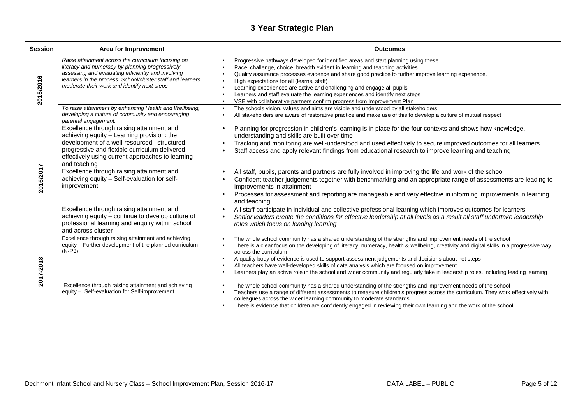### **3 Year Strategic Plan**

| <b>Session</b> | Area for Improvement                                                                                                                                                                                                                                                                                                                                                                     | <b>Outcomes</b>                                                                                                                                                                                                                                                                                                                                                                                                                                                                                                                                                                                                                                                                                                                                                                                                                                                             |
|----------------|------------------------------------------------------------------------------------------------------------------------------------------------------------------------------------------------------------------------------------------------------------------------------------------------------------------------------------------------------------------------------------------|-----------------------------------------------------------------------------------------------------------------------------------------------------------------------------------------------------------------------------------------------------------------------------------------------------------------------------------------------------------------------------------------------------------------------------------------------------------------------------------------------------------------------------------------------------------------------------------------------------------------------------------------------------------------------------------------------------------------------------------------------------------------------------------------------------------------------------------------------------------------------------|
| 2015/2016      | Raise attainment across the curriculum focusing on<br>literacy and numeracy by planning progressively,<br>assessing and evaluating efficiently and involving<br>learners in the process. School/cluster staff and learners<br>moderate their work and identify next steps<br>To raise attainment by enhancing Health and Wellbeing,<br>developing a culture of community and encouraging | Progressive pathways developed for identified areas and start planning using these.<br>$\bullet$<br>Pace, challenge, choice, breadth evident in learning and teaching activities<br>$\bullet$<br>Quality assurance processes evidence and share good practice to further improve learning experience.<br>High expectations for all (learns, staff)<br>$\bullet$<br>Learning experiences are active and challenging and engage all pupils<br>$\bullet$<br>Learners and staff evaluate the learning experiences and identify next steps<br>$\bullet$<br>VSE with collaborative partners confirm progress from Improvement Plan<br>$\bullet$<br>The schools vision, values and aims are visible and understood by all stakeholders<br>$\bullet$<br>All stakeholders are aware of restorative practice and make use of this to develop a culture of mutual respect<br>$\bullet$ |
|                | parental engagement.<br>Excellence through raising attainment and<br>achieving equity - Learning provision: the<br>development of a well-resourced, structured,<br>progressive and flexible curriculum delivered<br>effectively using current approaches to learning<br>and teaching                                                                                                     | Planning for progression in children's learning is in place for the four contexts and shows how knowledge,<br>$\bullet$<br>understanding and skills are built over time<br>Tracking and monitoring are well-understood and used effectively to secure improved outcomes for all learners<br>Staff access and apply relevant findings from educational research to improve learning and teaching<br>$\bullet$                                                                                                                                                                                                                                                                                                                                                                                                                                                                |
| 2016/2017      | Excellence through raising attainment and<br>achieving equity - Self-evaluation for self-<br>improvement                                                                                                                                                                                                                                                                                 | All staff, pupils, parents and partners are fully involved in improving the life and work of the school<br>$\bullet$<br>Confident teacher judgements together with benchmarking and an appropriate range of assessments are leading to<br>$\bullet$<br>improvements in attainment<br>Processes for assessment and reporting are manageable and very effective in informing improvements in learning<br>$\bullet$<br>and teaching                                                                                                                                                                                                                                                                                                                                                                                                                                            |
|                | Excellence through raising attainment and<br>achieving equity - continue to develop culture of<br>professional learning and enquiry within school<br>and across cluster                                                                                                                                                                                                                  | All staff participate in individual and collective professional learning which improves outcomes for learners<br>$\bullet$<br>Senior leaders create the conditions for effective leadership at all levels as a result all staff undertake leadership<br>roles which focus on leading learning                                                                                                                                                                                                                                                                                                                                                                                                                                                                                                                                                                               |
| 2017-2018      | Excellence through raising attainment and achieving<br>equity - Further development of the planned curriculum<br>$(N-P3)$                                                                                                                                                                                                                                                                | The whole school community has a shared understanding of the strengths and improvement needs of the school<br>$\bullet$<br>There is a clear focus on the developing of literacy, numeracy, health & wellbeing, creativity and digital skills in a progressive way<br>across the curriculum<br>A quality body of evidence is used to support assessment judgements and decisions about net steps<br>$\bullet$<br>All teachers have well-developed skills of data analysis which are focused on improvement<br>$\bullet$<br>Learners play an active role in the school and wider community and regularly take in leadership roles, including leading learning                                                                                                                                                                                                                 |
|                | Excellence through raising attainment and achieving<br>equity - Self-evaluation for Self-improvement                                                                                                                                                                                                                                                                                     | The whole school community has a shared understanding of the strengths and improvement needs of the school<br>$\bullet$<br>Teachers use a range of different assessments to measure children's progress across the curriculum. They work effectively with<br>$\bullet$<br>colleagues across the wider learning community to moderate standards<br>There is evidence that children are confidently engaged in reviewing their own learning and the work of the school                                                                                                                                                                                                                                                                                                                                                                                                        |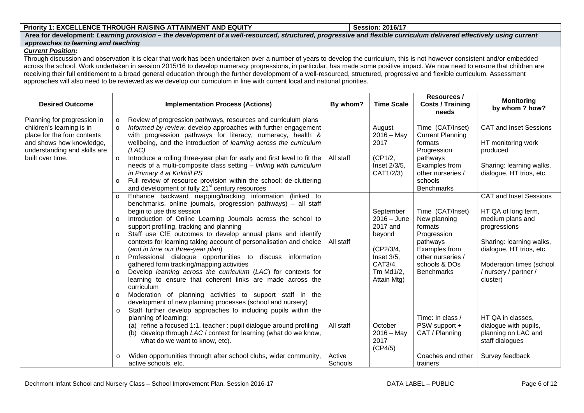#### **Priority 1: EXCELLENCE THROUGH RAISING ATTAINMENT AND EQUITY**

 **Session: 2016/17 Area for development: Learning provision – the development of a well-resourced, structured, progressive and flexible curriculum delivered effectively using current approaches to learning and teaching**

#### **Current Position:**

 Through discussion and observation it is clear that work has been undertaken over a number of years to develop the curriculum, this is not however consistent and/or embedded across the school. Work undertaken in session 2015/16 to develop numeracy progressions, in particular, has made some positive impact. We now need to ensure that children are receiving their full entitlement to a broad general education through the further development of a well-resourced, structured, progressive and flexible curriculum. Assessment approaches will also need to be reviewed as we develop our curriculum in line with current local and national priorities.

| <b>Desired Outcome</b>                                                                                                                                                  | <b>Implementation Process (Actions)</b>                                                                                                                                                                                                                                                                                                                                                                                                                                                                                                                                                                                                                                                                                                                                                                                                                                                      | By whom?                       | <b>Time Scale</b>                                                                                                  | <b>Resources /</b><br><b>Costs / Training</b><br>needs                                                                                                  | <b>Monitoring</b><br>by whom ? how?                                                                                                                                                                               |
|-------------------------------------------------------------------------------------------------------------------------------------------------------------------------|----------------------------------------------------------------------------------------------------------------------------------------------------------------------------------------------------------------------------------------------------------------------------------------------------------------------------------------------------------------------------------------------------------------------------------------------------------------------------------------------------------------------------------------------------------------------------------------------------------------------------------------------------------------------------------------------------------------------------------------------------------------------------------------------------------------------------------------------------------------------------------------------|--------------------------------|--------------------------------------------------------------------------------------------------------------------|---------------------------------------------------------------------------------------------------------------------------------------------------------|-------------------------------------------------------------------------------------------------------------------------------------------------------------------------------------------------------------------|
| Planning for progression in<br>children's learning is in<br>place for the four contexts<br>and shows how knowledge,<br>understanding and skills are<br>built over time. | Review of progression pathways, resources and curriculum plans<br>$\circ$<br>Informed by review, develop approaches with further engagement<br>$\Omega$<br>with progression pathways for literacy, numeracy, health &<br>wellbeing, and the introduction of learning across the curriculum<br>(LAC)<br>Introduce a rolling three-year plan for early and first level to fit the<br>$\Omega$<br>needs of a multi-composite class setting - linking with curriculum<br>in Primary 4 at Kirkhill PS<br>Full review of resource provision within the school: de-cluttering<br>$\Omega$<br>and development of fully 21 <sup>st</sup> century resources                                                                                                                                                                                                                                            | All staff                      | August<br>$2016 - May$<br>2017<br>(CP1/2,<br>Inset 2/3/5,<br>CAT1/2/3)                                             | Time (CAT/Inset)<br><b>Current Planning</b><br>formats<br>Progression<br>pathways<br>Examples from<br>other nurseries /<br>schools<br><b>Benchmarks</b> | <b>CAT and Inset Sessions</b><br>HT monitoring work<br>produced<br>Sharing: learning walks,<br>dialogue, HT trios, etc.                                                                                           |
|                                                                                                                                                                         | Enhance backward mapping/tracking information (linked to<br>benchmarks, online journals, progression pathways) - all staff<br>begin to use this session<br>Introduction of Online Learning Journals across the school to<br>$\Omega$<br>support profiling, tracking and planning<br>Staff use CfE outcomes to develop annual plans and identify<br>$\circ$<br>contexts for learning taking account of personalisation and choice<br>(and in time our three-year plan)<br>Professional dialogue opportunities to discuss information<br>$\Omega$<br>gathered form tracking/mapping activities<br>Develop learning across the curriculum (LAC) for contexts for<br>$\Omega$<br>learning to ensure that coherent links are made across the<br>curriculum<br>Moderation of planning activities to support staff in the<br>$\Omega$<br>development of new planning processes (school and nursery) | All staff                      | September<br>$2016 - June$<br>2017 and<br>beyond<br>(CP2/3/4,<br>Inset 3/5.<br>CAT3/4,<br>Tm Md1/2,<br>Attain Mtg) | Time (CAT/Inset)<br>New planning<br>formats<br>Progression<br>pathways<br>Examples from<br>other nurseries /<br>schools & DOs<br><b>Benchmarks</b>      | <b>CAT and Inset Sessions</b><br>HT QA of long term,<br>medium plans and<br>progressions<br>Sharing: learning walks,<br>dialogue, HT trios, etc.<br>Moderation times (school<br>/ nursery / partner /<br>cluster) |
|                                                                                                                                                                         | Staff further develop approaches to including pupils within the<br>planning of learning:<br>(a) refine a focused 1:1, teacher : pupil dialogue around profiling<br>develop through LAC / context for learning (what do we know,<br>(b)<br>what do we want to know, etc).<br>Widen opportunities through after school clubs, wider community,<br>active schools, etc.                                                                                                                                                                                                                                                                                                                                                                                                                                                                                                                         | All staff<br>Active<br>Schools | October<br>$2016 - May$<br>2017<br>(CP4/5)                                                                         | Time: In class /<br>PSW support +<br>CAT / Planning<br>Coaches and other<br>trainers                                                                    | HT QA in classes,<br>dialogue with pupils,<br>planning on LAC and<br>staff dialogues<br>Survey feedback                                                                                                           |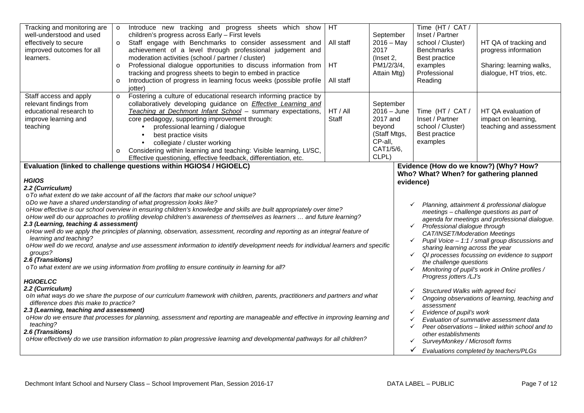| Tracking and monitoring are<br>well-understood and used<br>effectively to secure<br>improved outcomes for all<br>learners.                                                                                                                                                                                                                                                                                                                                                                                                                                                                                                                                                                                                                                                                                                                                                                                                                                                                                                                                                                                                                                                                                                                                                                                                                                                                                                                                                                                                                                                                                                                                                                                                                                                                                                                                                                                                                                                                                                                                                                                                                                                                                                                                                                                                                                                                                                                                                                                               | $\circ$<br>$\circ$<br>$\circ$<br>$\Omega$ | Introduce new tracking and progress sheets which show<br>children's progress across Early - First levels<br>Staff engage with Benchmarks to consider assessment and<br>achievement of a level through professional judgement and<br>moderation activities (school / partner / cluster)<br>Professional dialogue opportunities to discuss information from<br>tracking and progress sheets to begin to embed in practice<br>Introduction of progress in learning focus weeks (possible profile<br>iotter) | HT.<br>All staff<br>HT<br>All staff | September<br>$2016 - May$<br>2017<br>(Inset 2,<br>PM1/2/3/4,<br>Attain Mtg)                       | Time (HT / CAT /<br>Inset / Partner<br>school / Cluster)<br><b>Benchmarks</b><br><b>Best practice</b><br>examples<br>Professional<br>Reading | HT QA of tracking and<br>progress information<br>Sharing: learning walks,<br>dialogue, HT trios, etc. |
|--------------------------------------------------------------------------------------------------------------------------------------------------------------------------------------------------------------------------------------------------------------------------------------------------------------------------------------------------------------------------------------------------------------------------------------------------------------------------------------------------------------------------------------------------------------------------------------------------------------------------------------------------------------------------------------------------------------------------------------------------------------------------------------------------------------------------------------------------------------------------------------------------------------------------------------------------------------------------------------------------------------------------------------------------------------------------------------------------------------------------------------------------------------------------------------------------------------------------------------------------------------------------------------------------------------------------------------------------------------------------------------------------------------------------------------------------------------------------------------------------------------------------------------------------------------------------------------------------------------------------------------------------------------------------------------------------------------------------------------------------------------------------------------------------------------------------------------------------------------------------------------------------------------------------------------------------------------------------------------------------------------------------------------------------------------------------------------------------------------------------------------------------------------------------------------------------------------------------------------------------------------------------------------------------------------------------------------------------------------------------------------------------------------------------------------------------------------------------------------------------------------------------|-------------------------------------------|----------------------------------------------------------------------------------------------------------------------------------------------------------------------------------------------------------------------------------------------------------------------------------------------------------------------------------------------------------------------------------------------------------------------------------------------------------------------------------------------------------|-------------------------------------|---------------------------------------------------------------------------------------------------|----------------------------------------------------------------------------------------------------------------------------------------------|-------------------------------------------------------------------------------------------------------|
| Staff access and apply<br>relevant findings from<br>educational research to<br>improve learning and<br>teaching                                                                                                                                                                                                                                                                                                                                                                                                                                                                                                                                                                                                                                                                                                                                                                                                                                                                                                                                                                                                                                                                                                                                                                                                                                                                                                                                                                                                                                                                                                                                                                                                                                                                                                                                                                                                                                                                                                                                                                                                                                                                                                                                                                                                                                                                                                                                                                                                          | $\circ$                                   | Fostering a culture of educational research informing practice by<br>collaboratively developing guidance on <b>Effective Learning and</b><br>Teaching at Dechmont Infant School - summary expectations,<br>core pedagogy, supporting improvement through:<br>professional learning / dialogue<br>best practice visits<br>collegiate / cluster working<br>Considering within learning and teaching: Visible learning, LI/SC,<br>Effective questioning, effective feedback, differentiation, etc.          | HT / All<br>Staff                   | September<br>$2016 - June$<br>2017 and<br>beyond<br>(Staff Mtgs,<br>CP-all,<br>CAT1/5/6,<br>CLPL) | Time (HT / CAT /<br>Inset / Partner<br>school / Cluster)<br>Best practice<br>examples                                                        | HT QA evaluation of<br>impact on learning,<br>teaching and assessment                                 |
| Evidence (How do we know?) (Why? How?<br>Evaluation (linked to challenge questions within HGIOS4 / HGIOELC)<br>Who? What? When? for gathering planned<br><b>HGIOS</b><br>evidence)<br>2.2 (Curriculum)<br>o To what extent do we take account of all the factors that make our school unique?<br>o Do we have a shared understanding of what progression looks like?<br>Planning, attainment & professional dialogue<br>o How effective is our school overview in ensuring children's knowledge and skills are built appropriately over time?<br>meetings - challenge questions as part of<br>o How well do our approaches to profiling develop children's awareness of themselves as learners  and future learning?<br>agenda for meetings and professional dialogue.<br>2.3 (Learning, teaching & assessment)<br>Professional dialogue through<br>$\checkmark$<br>o How well do we apply the principles of planning, observation, assessment, recording and reporting as an integral feature of<br>CAT/INSET/Moderation Meetings<br>learning and teaching?<br>Pupil Voice - 1:1 / small group discussions and<br>$\checkmark$<br>o How well do we record, analyse and use assessment information to identify development needs for individual learners and specific<br>sharing learning across the year<br>groups?<br>QI processes focussing on evidence to support<br>$\checkmark$<br>2.6 (Transitions)<br>the challenge questions<br>o To what extent are we using information from profiling to ensure continuity in learning for all?<br>Monitoring of pupil's work in Online profiles /<br>✓<br>Progress jotters /LJ's<br><b>HGIOELCC</b><br>2.2 (Curriculum)<br>Structured Walks with agreed foci<br>o In what ways do we share the purpose of our curriculum framework with children, parents, practitioners and partners and what<br>Ongoing observations of learning, teaching and<br>✓<br>difference does this make to practice?<br>assessment<br>2.3 (Learning, teaching and assessment)<br>Evidence of pupil's work<br>✓<br>o How do we ensure that processes for planning, assessment and reporting are manageable and effective in improving learning and<br>Evaluation of summative assessment data<br>teaching?<br>Peer observations - linked within school and to<br>$\checkmark$<br>2.6 (Transitions)<br>other establishments<br>o How effectively do we use transition information to plan progressive learning and developmental pathways for all children?<br>SurveyMonkey / Microsoft forms<br>✓ |                                           |                                                                                                                                                                                                                                                                                                                                                                                                                                                                                                          |                                     |                                                                                                   | Evaluations completed by teachers/PLGs                                                                                                       |                                                                                                       |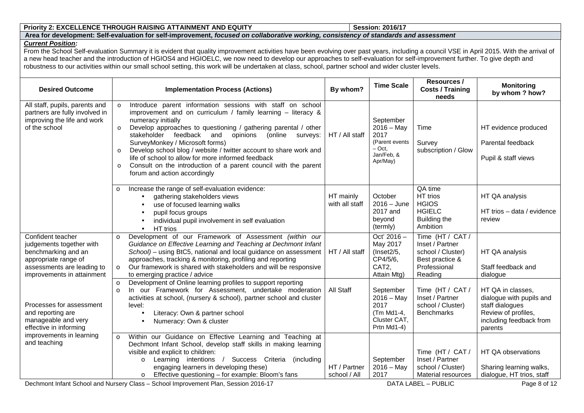#### **Priority 2: EXCELLENCE THROUGH RAISING ATTAINMENT AND EQUITY**

# **Session: 2016/17 Area for development: Self-evaluation for self-improvement, focused on collaborative working, consistency of standards and assessment**

#### **Current Position:**

From the School Self-evaluation Summary it is evident that quality improvement activities have been evolving over past years, including a council VSE in April 2015. With the arrival of a new head teacher and the introduction of HGIOS4 and HGIOELC, we now need to develop our approaches to self-evaluation for self-improvement further. To give depth and robustness to our activities within our small school setting, this work will be undertaken at class, school, partner school and wider cluster levels.

| <b>Desired Outcome</b>                                                                                                                                   | <b>Implementation Process (Actions)</b>                                                                                                                                                                                                                                                                                                                                                                                                                                                                                                                                                          | By whom?                     | <b>Time Scale</b>                                                                         | Resources /<br><b>Costs / Training</b><br>needs                                                        | <b>Monitoring</b><br>by whom ? how?                                                                                           |
|----------------------------------------------------------------------------------------------------------------------------------------------------------|--------------------------------------------------------------------------------------------------------------------------------------------------------------------------------------------------------------------------------------------------------------------------------------------------------------------------------------------------------------------------------------------------------------------------------------------------------------------------------------------------------------------------------------------------------------------------------------------------|------------------------------|-------------------------------------------------------------------------------------------|--------------------------------------------------------------------------------------------------------|-------------------------------------------------------------------------------------------------------------------------------|
| All staff, pupils, parents and<br>partners are fully involved in<br>improving the life and work<br>of the school                                         | Introduce parent information sessions with staff on school<br>$\circ$<br>improvement and on curriculum / family learning $-$ literacy &<br>numeracy initially<br>Develop approaches to questioning / gathering parental / other<br>$\circ$<br>stakeholder feedback and<br>(online<br>opinions<br>surveys:<br>SurveyMonkey / Microsoft forms)<br>Develop school blog / website / twitter account to share work and<br>$\circ$<br>life of school to allow for more informed feedback<br>Consult on the introduction of a parent council with the parent<br>$\circ$<br>forum and action accordingly | HT / All staff               | September<br>$2016 - May$<br>2017<br>(Parent events<br>$-$ Oct.<br>Jan/Feb. &<br>Apr/May) | Time<br>Survey<br>subscription / Glow                                                                  | HT evidence produced<br>Parental feedback<br>Pupil & staff views                                                              |
|                                                                                                                                                          | Increase the range of self-evaluation evidence:<br>$\circ$<br>gathering stakeholders views<br>use of focused learning walks<br>pupil focus groups<br>individual pupil involvement in self evaluation<br>HT trios<br>$\bullet$                                                                                                                                                                                                                                                                                                                                                                    | HT mainly<br>with all staff  | October<br>$2016 - June$<br>2017 and<br>beyond<br>(termly)                                | QA time<br>HT trios<br><b>HGIOS</b><br><b>HGIELC</b><br><b>Building the</b><br>Ambition                | HT QA analysis<br>HT trios - data / evidence<br>review                                                                        |
| Confident teacher<br>judgements together with<br>benchmarking and an<br>appropriate range of<br>assessments are leading to<br>improvements in attainment | Development of our Framework of Assessment (within our<br>$\circ$<br>Guidance on Effective Learning and Teaching at Dechmont Infant<br>School) – using BtC5, national and local guidance on assessment<br>approaches, tracking & monitoring, profiling and reporting<br>Our framework is shared with stakeholders and will be responsive<br>$\circ$<br>to emerging practice / advice                                                                                                                                                                                                             | HT / All staff               | Oct' 2016 -<br>May 2017<br>(Insert2/5,<br>CP4/5/6,<br>CAT <sub>2</sub> ,<br>Attain Mtg)   | Time (HT / CAT /<br>Inset / Partner<br>school / Cluster)<br>Best practice &<br>Professional<br>Reading | HT QA analysis<br>Staff feedback and<br>dialogue                                                                              |
| Processes for assessment<br>and reporting are<br>manageable and very<br>effective in informing                                                           | Development of Online learning profiles to support reporting<br>$\circ$<br>In our Framework for Assessment, undertake moderation<br>$\circ$<br>activities at school, (nursery & school), partner school and cluster<br>level:<br>Literacy: Own & partner school<br>Numeracy: Own & cluster                                                                                                                                                                                                                                                                                                       | All Staff                    | September<br>$2016 - May$<br>2017<br>(Tm Md1-4,<br>Cluster CAT,<br>Prtn Md1-4)            | Time (HT / CAT /<br>Inset / Partner<br>school / Cluster)<br><b>Benchmarks</b>                          | HT QA in classes,<br>dialogue with pupils and<br>staff dialogues<br>Review of profiles,<br>including feedback from<br>parents |
| improvements in learning<br>and teaching                                                                                                                 | Within our Guidance on Effective Learning and Teaching at<br>$\Omega$<br>Dechmont Infant School, develop staff skills in making learning<br>visible and explicit to children:<br>Learning intentions / Success Criteria (including<br>$\circ$<br>engaging learners in developing these)<br>Effective questioning - for example: Bloom's fans                                                                                                                                                                                                                                                     | HT / Partner<br>school / All | September<br>$2016 - May$<br>2017                                                         | Time (HT / CAT /<br>Inset / Partner<br>school / Cluster)<br>Material resources                         | HT QA observations<br>Sharing learning walks,<br>dialogue, HT trios, staff                                                    |

Dechmont Infant School and Nursery Class – School Improvement Plan, Session 2016-17 DATA LABEL – PUBLIC PUBLIC Page 8 of 12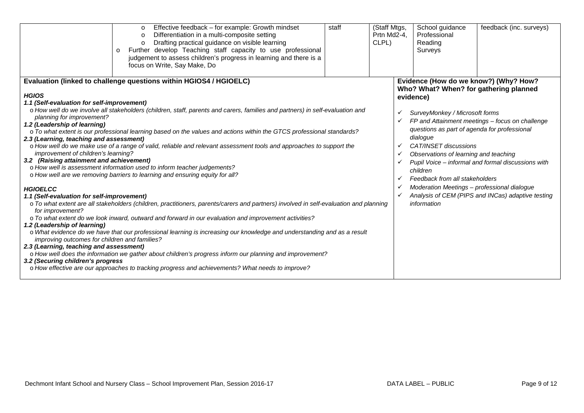|                                                                                                                                                                                                                                                                                                                                                                                                                                                                                                                                                                                                                                                                                                                                                                                | Effective feedback - for example: Growth mindset<br>$\circ$<br>Differentiation in a multi-composite setting<br>$\Omega$<br>Drafting practical guidance on visible learning<br>Further develop Teaching staff capacity to use professional<br>$\circ$<br>judgement to assess children's progress in learning and there is a<br>focus on Write, Say Make, Do                                                                                                                                                                                                                                                     | staff | (Staff Mtgs,<br>Prtn Md2-4,<br>CLPL) |                                              | School guidance<br>Professional<br>Reading<br>Surveys                                                                                                                                                                                                                                                              | feedback (inc. surveys)                                                                                                                                                                             |
|--------------------------------------------------------------------------------------------------------------------------------------------------------------------------------------------------------------------------------------------------------------------------------------------------------------------------------------------------------------------------------------------------------------------------------------------------------------------------------------------------------------------------------------------------------------------------------------------------------------------------------------------------------------------------------------------------------------------------------------------------------------------------------|----------------------------------------------------------------------------------------------------------------------------------------------------------------------------------------------------------------------------------------------------------------------------------------------------------------------------------------------------------------------------------------------------------------------------------------------------------------------------------------------------------------------------------------------------------------------------------------------------------------|-------|--------------------------------------|----------------------------------------------|--------------------------------------------------------------------------------------------------------------------------------------------------------------------------------------------------------------------------------------------------------------------------------------------------------------------|-----------------------------------------------------------------------------------------------------------------------------------------------------------------------------------------------------|
| <b>HGIOS</b><br>1.1 (Self-evaluation for self-improvement)<br>planning for improvement?<br>1.2 (Leadership of learning)<br>2.3 (Learning, teaching and assessment)<br>improvement of children's learning?<br>3.2 (Raising attainment and achievement)<br><b>HGIOELCC</b><br>1.1 (Self-evaluation for self-improvement)                                                                                                                                                                                                                                                                                                                                                                                                                                                         | Evaluation (linked to challenge questions within HGIOS4 / HGIOELC)<br>o How well do we involve all stakeholders (children, staff, parents and carers, families and partners) in self-evaluation and<br>o To what extent is our professional learning based on the values and actions within the GTCS professional standards?<br>o How well do we make use of a range of valid, reliable and relevant assessment tools and approaches to support the<br>o How well is assessment information used to inform teacher judgements?<br>o How well are we removing barriers to learning and ensuring equity for all? |       |                                      | evidence)<br>✓<br>✓<br>✓<br>✓<br>✓<br>✓<br>✓ | Who? What? When? for gathering planned<br>SurveyMonkey / Microsoft forms<br>questions as part of agenda for professional<br>dialogue<br>CAT/INSET discussions<br>Observations of learning and teaching<br>children<br>Feedback from all stakeholders<br>Moderation Meetings - professional dialogue<br>information | Evidence (How do we know?) (Why? How?<br>FP and Attainment meetings - focus on challenge<br>Pupil Voice - informal and formal discussions with<br>Analysis of CEM (PIPS and INCas) adaptive testing |
| o To what extent are all stakeholders (children, practitioners, parents/carers and partners) involved in self-evaluation and planning<br>for improvement?<br>o To what extent do we look inward, outward and forward in our evaluation and improvement activities?<br>1.2 (Leadership of learning)<br>o What evidence do we have that our professional learning is increasing our knowledge and understanding and as a result<br>improving outcomes for children and families?<br>2.3 (Learning, teaching and assessment)<br>o How well does the information we gather about children's progress inform our planning and improvement?<br>3.2 (Securing children's progress<br>o How effective are our approaches to tracking progress and achievements? What needs to improve? |                                                                                                                                                                                                                                                                                                                                                                                                                                                                                                                                                                                                                |       |                                      |                                              |                                                                                                                                                                                                                                                                                                                    |                                                                                                                                                                                                     |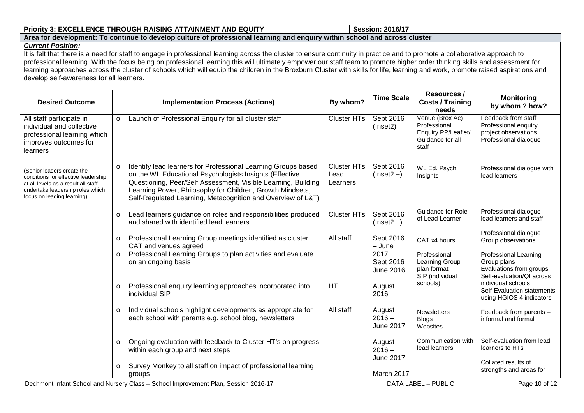#### **Priority 3: EXCELLENCE THROUGH RAISING ATTAINMENT AND EQUITY**

# **Session: 2016/17 Area for development: To continue to develop culture of professional learning and enquiry within school and across cluster**

#### **Current Position:**

It is felt that there is a need for staff to engage in professional learning across the cluster to ensure continuity in practice and to promote a collaborative approach to professional learning. With the focus being on professional learning this will ultimately empower our staff team to promote higher order thinking skills and assessment for learning approaches across the cluster of schools which will equip the children in the Broxburn Cluster with skills for life, learning and work, promote raised aspirations and develop self-awareness for all learners.

| <b>Desired Outcome</b>                                                                                                                                                     |                    | <b>Implementation Process (Actions)</b>                                                                                                                                                                                                                                                                               | By whom?                                                             | <b>Time Scale</b>                                                                | Resources /<br><b>Costs / Training</b><br>needs                                                                                                    | <b>Monitoring</b><br>by whom ? how?                                                          |
|----------------------------------------------------------------------------------------------------------------------------------------------------------------------------|--------------------|-----------------------------------------------------------------------------------------------------------------------------------------------------------------------------------------------------------------------------------------------------------------------------------------------------------------------|----------------------------------------------------------------------|----------------------------------------------------------------------------------|----------------------------------------------------------------------------------------------------------------------------------------------------|----------------------------------------------------------------------------------------------|
| All staff participate in<br>individual and collective<br>professional learning which<br>improves outcomes for<br>learners                                                  | $\circ$            | Launch of Professional Enquiry for all cluster staff                                                                                                                                                                                                                                                                  | <b>Cluster HTs</b>                                                   | Sept 2016<br>(Insert2)                                                           | Venue (Brox Ac)<br>Professional<br>Enquiry PP/Leaflet/<br>Guidance for all<br>staff                                                                | Feedback from staff<br>Professional enquiry<br>project observations<br>Professional dialogue |
| (Senior leaders create the<br>conditions for effective leadership<br>at all levels as a result all staff<br>undertake leadership roles which<br>focus on leading learning) | $\Omega$           | Identify lead learners for Professional Learning Groups based<br>on the WL Educational Psychologists Insights (Effective<br>Questioning, Peer/Self Assessment, Visible Learning, Building<br>Learning Power, Philosophy for Children, Growth Mindsets,<br>Self-Regulated Learning, Metacognition and Overview of L&T) | <b>Cluster HTs</b><br>Lead<br>Learners                               | Sept 2016<br>$(Insert2 +)$                                                       | WL Ed. Psych.<br>Insights                                                                                                                          | Professional dialogue with<br>lead learners                                                  |
|                                                                                                                                                                            | $\circ$            | Lead learners guidance on roles and responsibilities produced<br>and shared with identified lead learners                                                                                                                                                                                                             | <b>Cluster HTs</b>                                                   | Sept 2016<br>$(Insert2 +)$                                                       | <b>Guidance for Role</b><br>of Lead Learner                                                                                                        | Professional dialogue -<br>lead learners and staff                                           |
|                                                                                                                                                                            | $\circ$<br>$\circ$ | Professional Learning Group meetings identified as cluster<br>CAT and venues agreed<br>Professional Learning Groups to plan activities and evaluate<br>on an ongoing basis                                                                                                                                            | All staff<br>Sept 2016<br>$-$ June<br>2017<br>Sept 2016<br>June 2016 | CAT x4 hours<br>Professional<br>Learning Group<br>plan format<br>SIP (individual | Professional dialogue<br>Group observations<br><b>Professional Learning</b><br>Group plans<br>Evaluations from groups<br>Self-evaluation/QI across |                                                                                              |
|                                                                                                                                                                            | $\circ$            | Professional enquiry learning approaches incorporated into<br>individual SIP                                                                                                                                                                                                                                          | HT                                                                   | August<br>2016                                                                   | schools)                                                                                                                                           | individual schools<br>Self-Evaluation statements<br>using HGIOS 4 indicators                 |
|                                                                                                                                                                            | $\circ$            | Individual schools highlight developments as appropriate for<br>each school with parents e.g. school blog, newsletters                                                                                                                                                                                                | All staff                                                            | August<br>$2016 -$<br>June 2017                                                  | <b>Newsletters</b><br><b>Blogs</b><br>Websites                                                                                                     | Feedback from parents -<br>informal and formal                                               |
|                                                                                                                                                                            | $\circ$            | Ongoing evaluation with feedback to Cluster HT's on progress<br>within each group and next steps                                                                                                                                                                                                                      |                                                                      | August<br>$2016 -$<br>June 2017                                                  | Communication with<br>lead learners                                                                                                                | Self-evaluation from lead<br>learners to HTs                                                 |
|                                                                                                                                                                            | $\circ$            | Survey Monkey to all staff on impact of professional learning<br>groups                                                                                                                                                                                                                                               |                                                                      | March 2017                                                                       |                                                                                                                                                    | Collated results of<br>strengths and areas for                                               |

Dechmont Infant School and Nursery Class – School Improvement Plan, Session 2016-17 DATA LABEL – PUBLIC PUBLIC Page 10 of 12

DATA LABEL - PUBLIC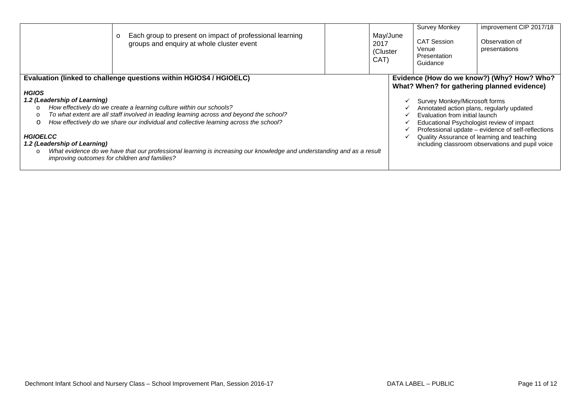|                                                                                                                                             | Each group to present on impact of professional learning<br>$\circ$<br>groups and enquiry at whole cluster event                                                                                                                                                                                                                                                                                                                                                                                        | May/June<br>2017<br>(Cluster<br>CAT) | <b>Survey Monkey</b><br><b>CAT Session</b><br>Venue<br>Presentation<br>Guidance                                                                           | improvement CIP 2017/18<br>Observation of<br>presentations                                                                                                                                                                                        |
|---------------------------------------------------------------------------------------------------------------------------------------------|---------------------------------------------------------------------------------------------------------------------------------------------------------------------------------------------------------------------------------------------------------------------------------------------------------------------------------------------------------------------------------------------------------------------------------------------------------------------------------------------------------|--------------------------------------|-----------------------------------------------------------------------------------------------------------------------------------------------------------|---------------------------------------------------------------------------------------------------------------------------------------------------------------------------------------------------------------------------------------------------|
| <b>HGIOS</b><br>1.2 (Leadership of Learning)<br>$\circ$<br>$\circ$<br>$\circ$<br><b>HGIOELCC</b><br>1.2 (Leadership of Learning)<br>$\circ$ | Evaluation (linked to challenge questions within HGIOS4 / HGIOELC)<br>How effectively do we create a learning culture within our schools?<br>To what extent are all staff involved in leading learning across and beyond the school?<br>How effectively do we share our individual and collective learning across the school?<br>What evidence do we have that our professional learning is increasing our knowledge and understanding and as a result<br>improving outcomes for children and families? |                                      | Survey Monkey/Microsoft forms<br>Annotated action plans, regularly updated<br>Evaluation from initial launch<br>Educational Psychologist review of impact | Evidence (How do we know?) (Why? How? Who?<br>What? When? for gathering planned evidence)<br>Professional update - evidence of self-reflections<br>Quality Assurance of learning and teaching<br>including classroom observations and pupil voice |